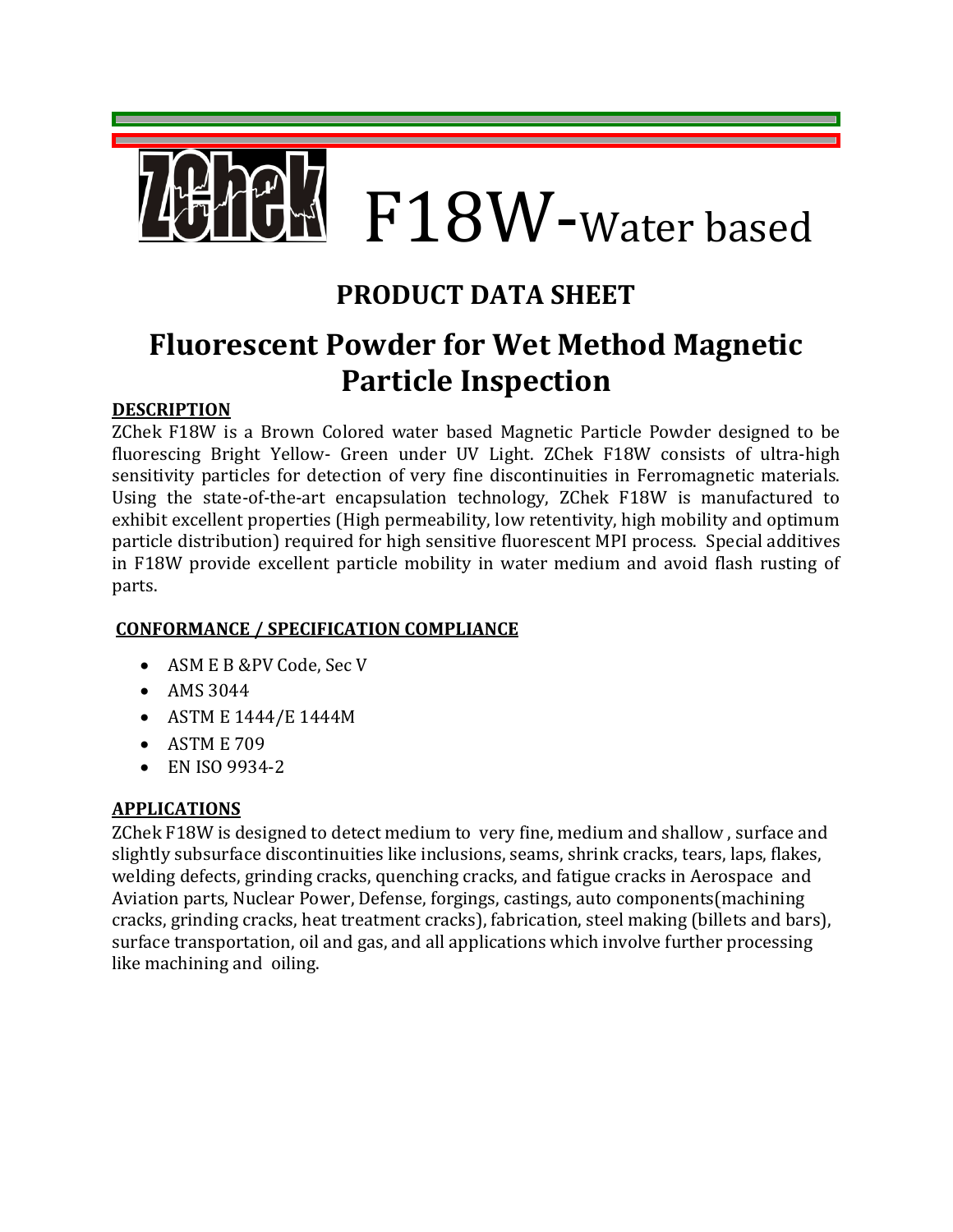# F18W-Water based

### **PRODUCT DATA SHEET**

## **Fluorescent Powder for Wet Method Magnetic Particle Inspection**

#### **DESCRIPTION**

ZChek F18W is a Brown Colored water based Magnetic Particle Powder designed to be fluorescing Bright Yellow- Green under UV Light. ZChek F18W consists of ultra-high sensitivity particles for detection of very fine discontinuities in Ferromagnetic materials. Using the state-of-the-art encapsulation technology, ZChek F18W is manufactured to exhibit excellent properties (High permeability, low retentivity, high mobility and optimum particle distribution) required for high sensitive fluorescent MPI process. Special additives in F18W provide excellent particle mobility in water medium and avoid flash rusting of parts.

#### **CONFORMANCE / SPECIFICATION COMPLIANCE**

- ASM E B &PV Code, Sec V
- AMS 3044
- ASTM E 1444/E 1444M
- ASTM E 709
- EN ISO 9934-2

#### **APPLICATIONS**

ZChek F18W is designed to detect medium to very fine, medium and shallow , surface and slightly subsurface discontinuities like inclusions, seams, shrink cracks, tears, laps, flakes, welding defects, grinding cracks, quenching cracks, and fatigue cracks in Aerospace and Aviation parts, Nuclear Power, Defense, forgings, castings, auto components(machining cracks, grinding cracks, heat treatment cracks), fabrication, steel making (billets and bars), surface transportation, oil and gas, and all applications which involve further processing like machining and oiling.